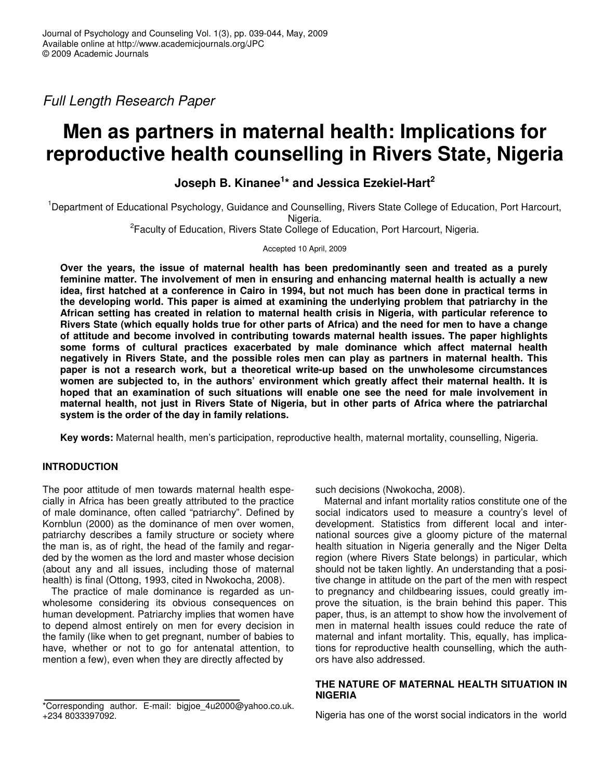*Full Length Research Paper*

# **Men as partners in maternal health: Implications for reproductive health counselling in Rivers State, Nigeria**

# **Joseph B. Kinanee 1 \* and Jessica Ezekiel-Hart 2**

<sup>1</sup>Department of Educational Psychology, Guidance and Counselling, Rivers State College of Education, Port Harcourt, Nigeria.

<sup>2</sup> Faculty of Education, Rivers State College of Education, Port Harcourt, Nigeria.

Accepted 10 April, 2009

**Over the years, the issue of maternal health has been predominantly seen and treated as a purely feminine matter. The involvement of men in ensuring and enhancing maternal health is actually a new** idea, first hatched at a conference in Cairo in 1994, but not much has been done in practical terms in **the developing world. This paper is aimed at examining the underlying problem that patriarchy in the African setting has created in relation to maternal health crisis in Nigeria, with particular reference to** Rivers State (which equally holds true for other parts of Africa) and the need for men to have a change **of attitude and become involved in contributing towards maternal health issues. The paper highlights some forms of cultural practices exacerbated by male dominance which affect maternal health negatively in Rivers State, and the possible roles men can play as partners in maternal health. This paper is not a research work, but a theoretical write-up based on the unwholesome circumstances women are subjected to, in the authors' environment which greatly affect their maternal health. It is hoped that an examination of such situations will enable one see the need for male involvement in** maternal health, not just in Rivers State of Nigeria, but in other parts of Africa where the patriarchal **system is the order of the day in family relations.**

**Key words:** Maternal health, men's participation, reproductive health, maternal mortality, counselling, Nigeria.

# **INTRODUCTION**

The poor attitude of men towards maternal health especially in Africa has been greatly attributed to the practice of male dominance, often called "patriarchy". Defined by Kornblun (2000) as the dominance of men over women, patriarchy describes a family structure or society where the man is, as of right, the head of the family and regarded by the women as the lord and master whose decision (about any and all issues, including those of maternal health) is final (Ottong, 1993, cited in Nwokocha, 2008).

The practice of male dominance is regarded as unwholesome considering its obvious consequences on human development. Patriarchy implies that women have to depend almost entirely on men for every decision in the family (like when to get pregnant, number of babies to have, whether or not to go for antenatal attention, to mention a few), even when they are directly affected by

such decisions (Nwokocha, 2008).

Maternal and infant mortality ratios constitute one of the social indicators used to measure a country's level of development. Statistics from different local and international sources give a gloomy picture of the maternal health situation in Nigeria generally and the Niger Delta region (where Rivers State belongs) in particular, which should not be taken lightly. An understanding that a positive change in attitude on the part of the men with respect to pregnancy and childbearing issues, could greatly improve the situation, is the brain behind this paper. This paper, thus, is an attempt to show how the involvement of men in maternal health issues could reduce the rate of maternal and infant mortality. This, equally, has implications for reproductive health counselling, which the authors have also addressed.

#### **THE NATURE OF MATERNAL HEALTH SITUATION IN NIGERIA**

Nigeria has one of the worst social indicators in the world

<sup>\*</sup>Corresponding author. E-mail: bigjoe\_4u2000@yahoo.co.uk. +234 8033397092.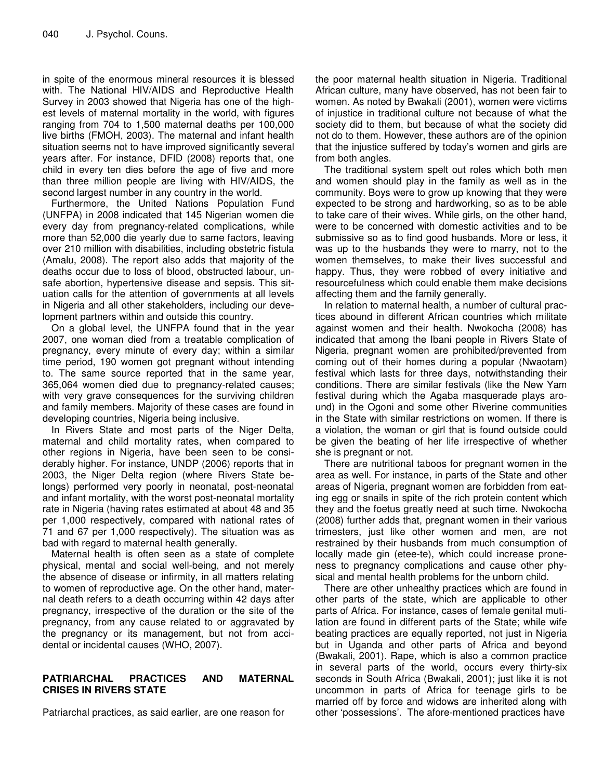in spite of the enormous mineral resources it is blessed with. The National HIV/AIDS and Reproductive Health Survey in 2003 showed that Nigeria has one of the highest levels of maternal mortality in the world, with figures ranging from 704 to 1,500 maternal deaths per 100,000 live births (FMOH, 2003). The maternal and infant health situation seems not to have improved significantly several years after. For instance, DFID (2008) reports that, one child in every ten dies before the age of five and more than three million people are living with HIV/AIDS, the second largest number in any country in the world.

Furthermore, the United Nations Population Fund (UNFPA) in 2008 indicated that 145 Nigerian women die every day from pregnancy-related complications, while more than 52,000 die yearly due to same factors, leaving over 210 million with disabilities, including obstetric fistula (Amalu, 2008). The report also adds that majority of the deaths occur due to loss of blood, obstructed labour, unsafe abortion, hypertensive disease and sepsis. This situation calls for the attention of governments at all levels in Nigeria and all other stakeholders, including our development partners within and outside this country.

On a global level, the UNFPA found that in the year 2007, one woman died from a treatable complication of pregnancy, every minute of every day; within a similar time period, 190 women got pregnant without intending to. The same source reported that in the same year, 365,064 women died due to pregnancy-related causes; with very grave consequences for the surviving children and family members. Majority of these cases are found in developing countries, Nigeria being inclusive.

In Rivers State and most parts of the Niger Delta, maternal and child mortality rates, when compared to other regions in Nigeria, have been seen to be considerably higher. For instance, UNDP (2006) reports that in 2003, the Niger Delta region (where Rivers State belongs) performed very poorly in neonatal, post-neonatal and infant mortality, with the worst post-neonatal mortality rate in Nigeria (having rates estimated at about 48 and 35 per 1,000 respectively, compared with national rates of 71 and 67 per 1,000 respectively). The situation was as bad with regard to maternal health generally.

Maternal health is often seen as a state of complete physical, mental and social well-being, and not merely the absence of disease or infirmity, in all matters relating to women of reproductive age. On the other hand, maternal death refers to a death occurring within 42 days after pregnancy, irrespective of the duration or the site of the pregnancy, from any cause related to or aggravated by the pregnancy or its management, but not from accidental or incidental causes (WHO, 2007).

# **PATRIARCHAL PRACTICES AND MATERNAL CRISES IN RIVERS STATE**

Patriarchal practices, as said earlier, are one reason for

the poor maternal health situation in Nigeria. Traditional African culture, many have observed, has not been fair to women. As noted by Bwakali (2001), women were victims of injustice in traditional culture not because of what the society did to them, but because of what the society did not do to them. However, these authors are of the opinion that the injustice suffered by today's women and girls are from both angles.

The traditional system spelt out roles which both men and women should play in the family as well as in the community. Boys were to grow up knowing that they were expected to be strong and hardworking, so as to be able to take care of their wives. While girls, on the other hand, were to be concerned with domestic activities and to be submissive so as to find good husbands. More or less, it was up to the husbands they were to marry, not to the women themselves, to make their lives successful and happy. Thus, they were robbed of every initiative and resourcefulness which could enable them make decisions affecting them and the family generally.

In relation to maternal health, a number of cultural practices abound in different African countries which militate against women and their health. Nwokocha (2008) has indicated that among the Ibani people in Rivers State of Nigeria, pregnant women are prohibited/prevented from coming out of their homes during a popular (Nwaotam) festival which lasts for three days, notwithstanding their conditions. There are similar festivals (like the New Yam festival during which the Agaba masquerade plays around) in the Ogoni and some other Riverine communities in the State with similar restrictions on women. If there is a violation, the woman or girl that is found outside could be given the beating of her life irrespective of whether she is pregnant or not.

There are nutritional taboos for pregnant women in the area as well. For instance, in parts of the State and other areas of Nigeria, pregnant women are forbidden from eating egg or snails in spite of the rich protein content which they and the foetus greatly need at such time. Nwokocha (2008) further adds that, pregnant women in their various trimesters, just like other women and men, are not restrained by their husbands from much consumption of locally made gin (etee-te), which could increase proneness to pregnancy complications and cause other physical and mental health problems for the unborn child.

There are other unhealthy practices which are found in other parts of the state, which are applicable to other parts of Africa. For instance, cases of female genital mutilation are found in different parts of the State; while wife beating practices are equally reported, not just in Nigeria but in Uganda and other parts of Africa and beyond (Bwakali, 2001). Rape, which is also a common practice in several parts of the world, occurs every thirty-six seconds in South Africa (Bwakali, 2001); just like it is not uncommon in parts of Africa for teenage girls to be married off by force and widows are inherited along with other 'possessions'. The afore-mentioned practices have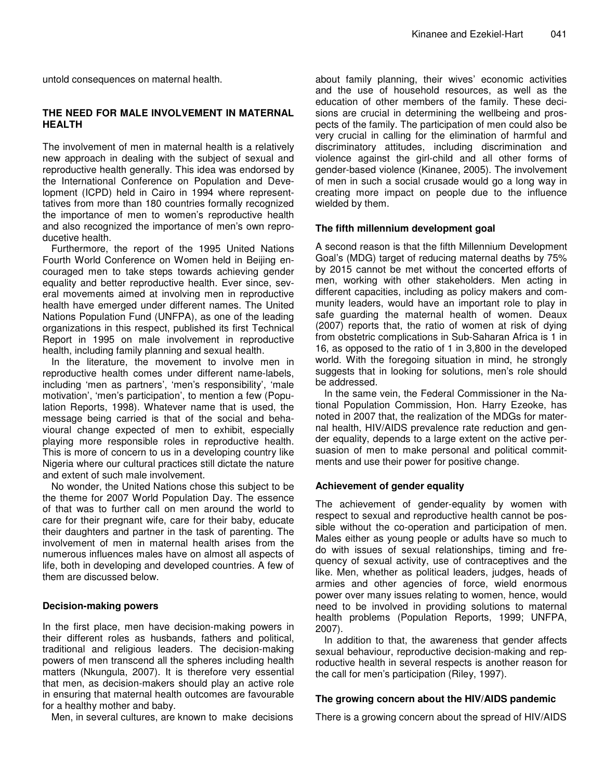untold consequences on maternal health.

#### **THE NEED FOR MALE INVOLVEMENT IN MATERNAL HEALTH**

The involvement of men in maternal health is a relatively new approach in dealing with the subject of sexual and reproductive health generally. This idea was endorsed by the International Conference on Population and Development (ICPD) held in Cairo in 1994 where representtatives from more than 180 countries formally recognized the importance of men to women's reproductive health and also recognized the importance of men's own reproducetive health.

Furthermore, the report of the 1995 United Nations Fourth World Conference on Women held in Beijing encouraged men to take steps towards achieving gender equality and better reproductive health. Ever since, several movements aimed at involving men in reproductive health have emerged under different names. The United Nations Population Fund (UNFPA), as one of the leading organizations in this respect, published its first Technical Report in 1995 on male involvement in reproductive health, including family planning and sexual health.

In the literature, the movement to involve men in reproductive health comes under different name-labels, including 'men as partners', 'men's responsibility', 'male motivation', 'men's participation', to mention a few (Population Reports, 1998). Whatever name that is used, the message being carried is that of the social and behavioural change expected of men to exhibit, especially playing more responsible roles in reproductive health. This is more of concern to us in a developing country like Nigeria where our cultural practices still dictate the nature and extent of such male involvement.

No wonder, the United Nations chose this subject to be the theme for 2007 World Population Day. The essence of that was to further call on men around the world to care for their pregnant wife, care for their baby, educate their daughters and partner in the task of parenting. The involvement of men in maternal health arises from the numerous influences males have on almost all aspects of life, both in developing and developed countries. A few of them are discussed below.

#### **Decision-making powers**

In the first place, men have decision-making powers in their different roles as husbands, fathers and political, traditional and religious leaders. The decision-making powers of men transcend all the spheres including health matters (Nkungula, 2007). It is therefore very essential that men, as decision-makers should play an active role in ensuring that maternal health outcomes are favourable for a healthy mother and baby.

Men, in several cultures, are known to make decisions

about family planning, their wives' economic activities and the use of household resources, as well as the education of other members of the family. These decisions are crucial in determining the wellbeing and prospects of the family. The participation of men could also be very crucial in calling for the elimination of harmful and discriminatory attitudes, including discrimination and violence against the girl-child and all other forms of gender-based violence (Kinanee, 2005). The involvement of men in such a social crusade would go a long way in creating more impact on people due to the influence wielded by them.

#### **The fifth millennium development goal**

A second reason is that the fifth Millennium Development Goal's (MDG) target of reducing maternal deaths by 75% by 2015 cannot be met without the concerted efforts of men, working with other stakeholders. Men acting in different capacities, including as policy makers and community leaders, would have an important role to play in safe guarding the maternal health of women. Deaux (2007) reports that, the ratio of women at risk of dying from obstetric complications in Sub-Saharan Africa is 1 in 16, as opposed to the ratio of 1 in 3,800 in the developed world. With the foregoing situation in mind, he strongly suggests that in looking for solutions, men's role should be addressed.

In the same vein, the Federal Commissioner in the National Population Commission, Hon. Harry Ezeoke, has noted in 2007 that, the realization of the MDGs for maternal health, HIV/AIDS prevalence rate reduction and gender equality, depends to a large extent on the active persuasion of men to make personal and political commitments and use their power for positive change.

#### **Achievement of gender equality**

The achievement of gender-equality by women with respect to sexual and reproductive health cannot be possible without the co-operation and participation of men. Males either as young people or adults have so much to do with issues of sexual relationships, timing and frequency of sexual activity, use of contraceptives and the like. Men, whether as political leaders, judges, heads of armies and other agencies of force, wield enormous power over many issues relating to women, hence, would need to be involved in providing solutions to maternal health problems (Population Reports, 1999; UNFPA, 2007).

In addition to that, the awareness that gender affects sexual behaviour, reproductive decision-making and reproductive health in several respects is another reason for the call for men's participation (Riley, 1997).

#### **The growing concern about the HIV/AIDS pandemic**

There is a growing concern about the spread of HIV/AIDS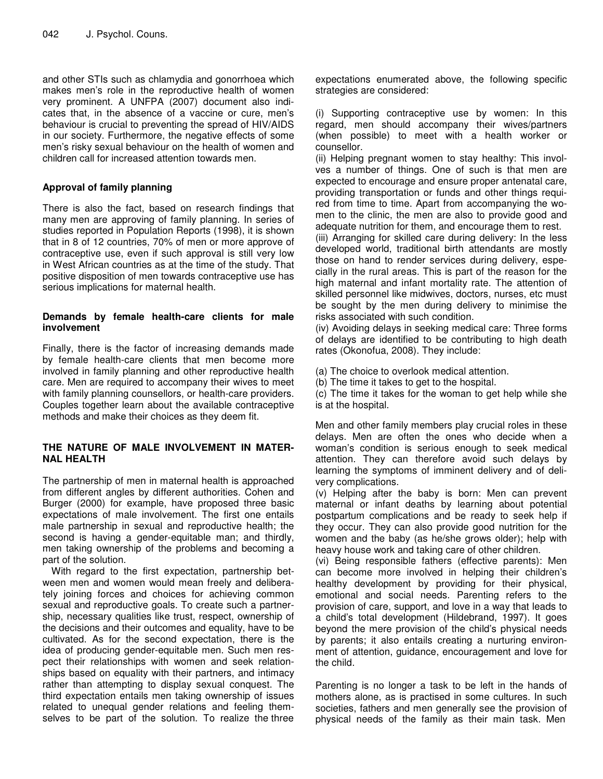and other STIs such as chlamydia and gonorrhoea which makes men's role in the reproductive health of women very prominent. A UNFPA (2007) document also indicates that, in the absence of a vaccine or cure, men's behaviour is crucial to preventing the spread of HIV/AIDS in our society. Furthermore, the negative effects of some men's risky sexual behaviour on the health of women and children call for increased attention towards men.

# **Approval of family planning**

There is also the fact, based on research findings that many men are approving of family planning. In series of studies reported in Population Reports (1998), it is shown that in 8 of 12 countries, 70% of men or more approve of contraceptive use, even if such approval is still very low in West African countries as at the time of the study. That positive disposition of men towards contraceptive use has serious implications for maternal health.

#### **Demands by female health-care clients for male involvement**

Finally, there is the factor of increasing demands made by female health-care clients that men become more involved in family planning and other reproductive health care. Men are required to accompany their wives to meet with family planning counsellors, or health-care providers. Couples together learn about the available contraceptive methods and make their choices as they deem fit.

#### **THE NATURE OF MALE INVOLVEMENT IN MATER-NAL HEALTH**

The partnership of men in maternal health is approached from different angles by different authorities. Cohen and Burger (2000) for example, have proposed three basic expectations of male involvement. The first one entails male partnership in sexual and reproductive health; the second is having a gender-equitable man; and thirdly, men taking ownership of the problems and becoming a part of the solution.

With regard to the first expectation, partnership between men and women would mean freely and deliberately joining forces and choices for achieving common sexual and reproductive goals. To create such a partnership, necessary qualities like trust, respect, ownership of the decisions and their outcomes and equality, have to be cultivated. As for the second expectation, there is the idea of producing gender-equitable men. Such men respect their relationships with women and seek relationships based on equality with their partners, and intimacy rather than attempting to display sexual conquest. The third expectation entails men taking ownership of issues related to unequal gender relations and feeling themselves to be part of the solution. To realize the three

expectations enumerated above, the following specific strategies are considered:

(i) Supporting contraceptive use by women: In this regard, men should accompany their wives/partners (when possible) to meet with a health worker or counsellor.

(ii) Helping pregnant women to stay healthy: This involves a number of things. One of such is that men are expected to encourage and ensure proper antenatal care, providing transportation or funds and other things required from time to time. Apart from accompanying the women to the clinic, the men are also to provide good and adequate nutrition for them, and encourage them to rest.

(iii) Arranging for skilled care during delivery: In the less developed world, traditional birth attendants are mostly those on hand to render services during delivery, especially in the rural areas. This is part of the reason for the high maternal and infant mortality rate. The attention of skilled personnel like midwives, doctors, nurses, etc must be sought by the men during delivery to minimise the risks associated with such condition.

(iv) Avoiding delays in seeking medical care: Three forms of delays are identified to be contributing to high death rates (Okonofua, 2008). They include:

(a) The choice to overlook medical attention.

(b) The time it takes to get to the hospital.

(c) The time it takes for the woman to get help while she is at the hospital.

Men and other family members play crucial roles in these delays. Men are often the ones who decide when a woman's condition is serious enough to seek medical attention. They can therefore avoid such delays by learning the symptoms of imminent delivery and of delivery complications.

(v) Helping after the baby is born: Men can prevent maternal or infant deaths by learning about potential postpartum complications and be ready to seek help if they occur. They can also provide good nutrition for the women and the baby (as he/she grows older); help with heavy house work and taking care of other children.

(vi) Being responsible fathers (effective parents): Men can become more involved in helping their children's healthy development by providing for their physical, emotional and social needs. Parenting refers to the provision of care, support, and love in a way that leads to a child's total development (Hildebrand, 1997). It goes beyond the mere provision of the child's physical needs by parents; it also entails creating a nurturing environment of attention, guidance, encouragement and love for the child.

Parenting is no longer a task to be left in the hands of mothers alone, as is practised in some cultures. In such societies, fathers and men generally see the provision of physical needs of the family as their main task. Men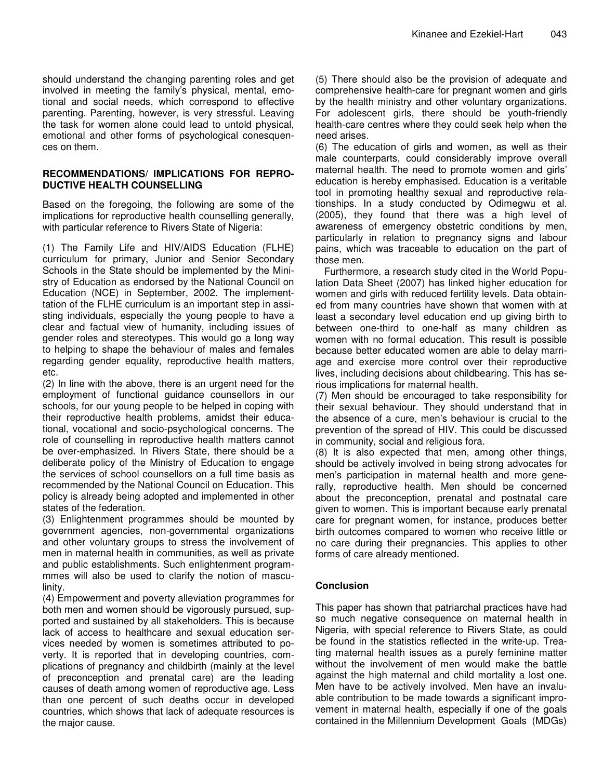should understand the changing parenting roles and get involved in meeting the family's physical, mental, emotional and social needs, which correspond to effective parenting. Parenting, however, is very stressful. Leaving the task for women alone could lead to untold physical, emotional and other forms of psychological conesquences on them.

#### **RECOMMENDATIONS/ IMPLICATIONS FOR REPRO-DUCTIVE HEALTH COUNSELLING**

Based on the foregoing, the following are some of the implications for reproductive health counselling generally, with particular reference to Rivers State of Nigeria:

(1) The Family Life and HIV/AIDS Education (FLHE) curriculum for primary, Junior and Senior Secondary Schools in the State should be implemented by the Ministry of Education as endorsed by the National Council on Education (NCE) in September, 2002. The implementtation of the FLHE curriculum is an important step in assisting individuals, especially the young people to have a clear and factual view of humanity, including issues of gender roles and stereotypes. This would go a long way to helping to shape the behaviour of males and females regarding gender equality, reproductive health matters, etc.

(2) In line with the above, there is an urgent need for the employment of functional guidance counsellors in our schools, for our young people to be helped in coping with their reproductive health problems, amidst their educational, vocational and socio-psychological concerns. The role of counselling in reproductive health matters cannot be over-emphasized. In Rivers State, there should be a deliberate policy of the Ministry of Education to engage the services of school counsellors on a full time basis as recommended by the National Council on Education. This policy is already being adopted and implemented in other states of the federation.

(3) Enlightenment programmes should be mounted by government agencies, non-governmental organizations and other voluntary groups to stress the involvement of men in maternal health in communities, as well as private and public establishments. Such enlightenment programmmes will also be used to clarify the notion of masculinity.

(4) Empowerment and poverty alleviation programmes for both men and women should be vigorously pursued, supported and sustained by all stakeholders. This is because lack of access to healthcare and sexual education services needed by women is sometimes attributed to poverty. It is reported that in developing countries, complications of pregnancy and childbirth (mainly at the level of preconception and prenatal care) are the leading causes of death among women of reproductive age. Less than one percent of such deaths occur in developed countries, which shows that lack of adequate resources is the major cause.

(5) There should also be the provision of adequate and comprehensive health-care for pregnant women and girls by the health ministry and other voluntary organizations. For adolescent girls, there should be youth-friendly health-care centres where they could seek help when the need arises.

(6) The education of girls and women, as well as their male counterparts, could considerably improve overall maternal health. The need to promote women and girls' education is hereby emphasised. Education is a veritable tool in promoting healthy sexual and reproductive relationships. In a study conducted by Odimegwu et al. (2005), they found that there was a high level of awareness of emergency obstetric conditions by men, particularly in relation to pregnancy signs and labour pains, which was traceable to education on the part of those men.

Furthermore, a research study cited in the World Population Data Sheet (2007) has linked higher education for women and girls with reduced fertility levels. Data obtained from many countries have shown that women with at least a secondary level education end up giving birth to between one-third to one-half as many children as women with no formal education. This result is possible because better educated women are able to delay marriage and exercise more control over their reproductive lives, including decisions about childbearing. This has serious implications for maternal health.

(7) Men should be encouraged to take responsibility for their sexual behaviour. They should understand that in the absence of a cure, men's behaviour is crucial to the prevention of the spread of HIV. This could be discussed in community, social and religious fora.

(8) It is also expected that men, among other things, should be actively involved in being strong advocates for men's participation in maternal health and more generally, reproductive health. Men should be concerned about the preconception, prenatal and postnatal care given to women. This is important because early prenatal care for pregnant women, for instance, produces better birth outcomes compared to women who receive little or no care during their pregnancies. This applies to other forms of care already mentioned.

# **Conclusion**

This paper has shown that patriarchal practices have had so much negative consequence on maternal health in Nigeria, with special reference to Rivers State, as could be found in the statistics reflected in the write-up. Treating maternal health issues as a purely feminine matter without the involvement of men would make the battle against the high maternal and child mortality a lost one. Men have to be actively involved. Men have an invaluable contribution to be made towards a significant improvement in maternal health, especially if one of the goals contained in the Millennium Development Goals (MDGs)